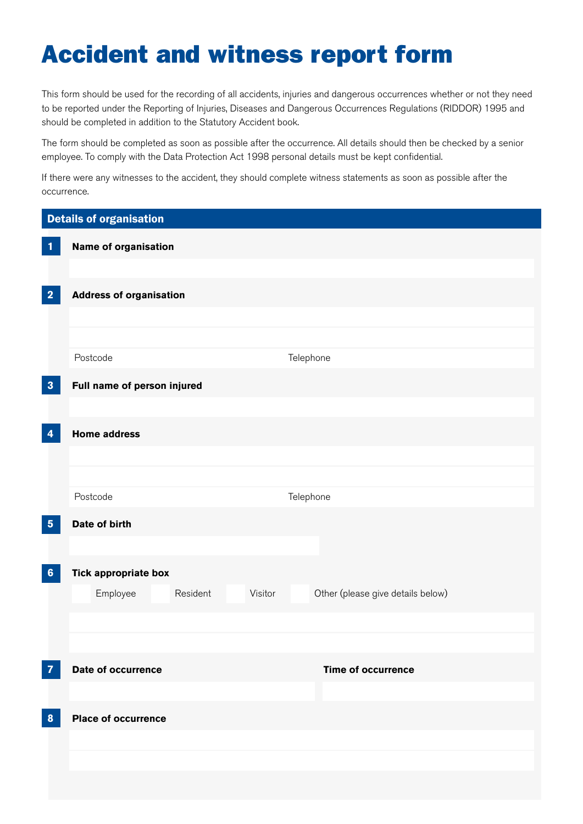## Accident and witness report form

This form should be used for the recording of all accidents, injuries and dangerous occurrences whether or not they need to be reported under the Reporting of Injuries, Diseases and Dangerous Occurrences Regulations (RIDDOR) 1995 and should be completed in addition to the Statutory Accident book.

The form should be completed as soon as possible after the occurrence. All details should then be checked by a senior employee. To comply with the Data Protection Act 1998 personal details must be kept confdential.

If there were any witnesses to the accident, they should complete witness statements as soon as possible after the occurrence.

| <b>Details of organisation</b> |                                 |                                   |
|--------------------------------|---------------------------------|-----------------------------------|
| $\mathbf{1}$                   | Name of organisation            |                                   |
| $\overline{\mathbf{2}}$        | <b>Address of organisation</b>  |                                   |
|                                | Postcode                        | Telephone                         |
| $\overline{\mathbf{3}}$        | Full name of person injured     |                                   |
| $\boldsymbol{4}$               | <b>Home address</b>             |                                   |
|                                |                                 |                                   |
|                                | Postcode                        | Telephone                         |
| ${\bf 5}$                      | Date of birth                   |                                   |
| $6\phantom{1}6$                | <b>Tick appropriate box</b>     |                                   |
|                                | Visitor<br>Employee<br>Resident | Other (please give details below) |
|                                |                                 |                                   |
| $\overline{7}$                 | Date of occurrence              | <b>Time of occurrence</b>         |
| $\boldsymbol{8}$               | <b>Place of occurrence</b>      |                                   |
|                                |                                 |                                   |
|                                |                                 |                                   |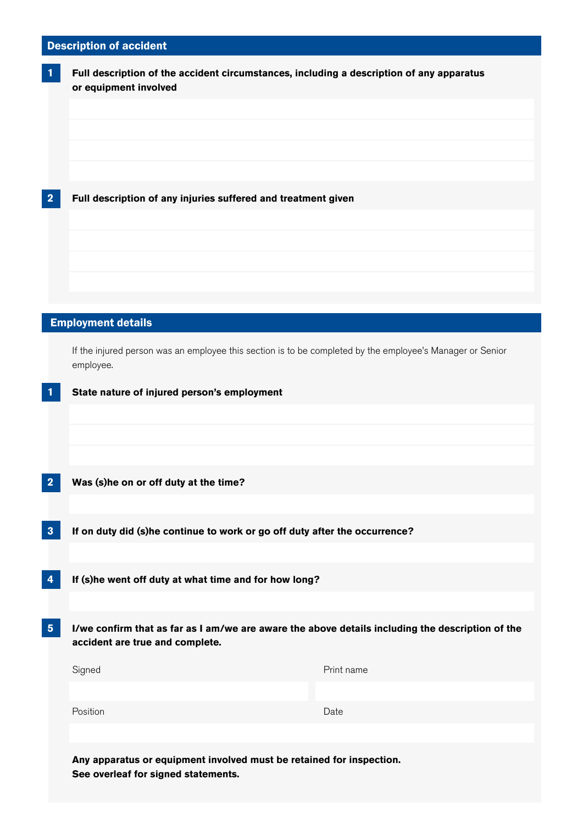## Description of accident

| $\overline{\mathbf{1}}$ | Full description of the accident circumstances, including a description of any apparatus<br>or equipment involved                   |            |
|-------------------------|-------------------------------------------------------------------------------------------------------------------------------------|------------|
|                         |                                                                                                                                     |            |
|                         |                                                                                                                                     |            |
|                         |                                                                                                                                     |            |
| $\overline{\mathbf{2}}$ | Full description of any injuries suffered and treatment given                                                                       |            |
|                         |                                                                                                                                     |            |
|                         |                                                                                                                                     |            |
|                         |                                                                                                                                     |            |
|                         | <b>Employment details</b>                                                                                                           |            |
|                         | If the injured person was an employee this section is to be completed by the employee's Manager or Senior<br>employee.              |            |
| $\mathbf{1}$            | State nature of injured person's employment                                                                                         |            |
|                         |                                                                                                                                     |            |
|                         |                                                                                                                                     |            |
| $\overline{\mathbf{2}}$ | Was (s)he on or off duty at the time?                                                                                               |            |
|                         |                                                                                                                                     |            |
| $\boldsymbol{3}$        | If on duty did (s)he continue to work or go off duty after the occurrence?                                                          |            |
| $\boldsymbol{4}$        | If (s)he went off duty at what time and for how long?                                                                               |            |
| $\sqrt{5}$              | I/we confirm that as far as I am/we are aware the above details including the description of the<br>accident are true and complete. |            |
|                         | Signed                                                                                                                              | Print name |
|                         |                                                                                                                                     |            |
|                         | Position                                                                                                                            | Date       |
|                         | Any apparatus or equipment involved must be retained for inspection.                                                                |            |

**See overleaf for signed statements.**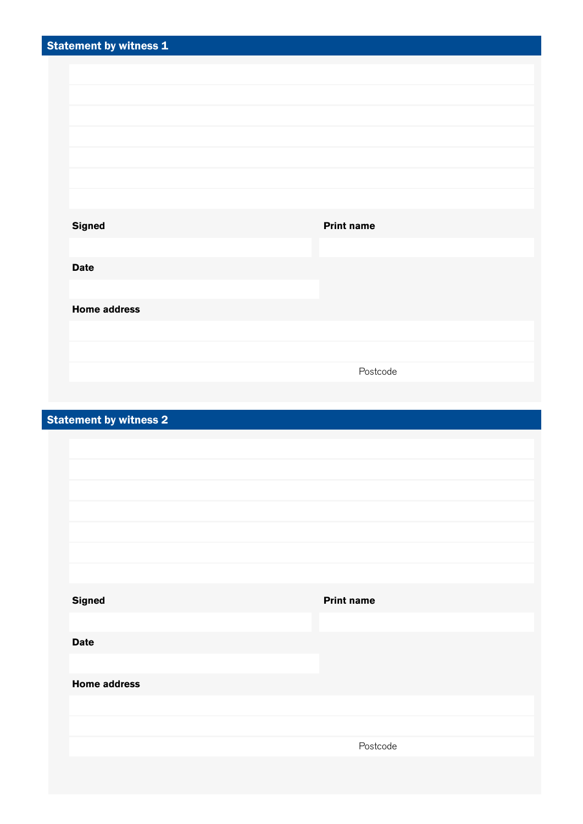| <b>Statement by witness 1</b> |                               |                   |
|-------------------------------|-------------------------------|-------------------|
|                               |                               |                   |
|                               |                               |                   |
|                               |                               |                   |
|                               |                               |                   |
|                               |                               |                   |
|                               |                               |                   |
|                               |                               |                   |
|                               |                               |                   |
|                               | <b>Signed</b>                 | <b>Print name</b> |
|                               |                               |                   |
|                               |                               |                   |
|                               | <b>Date</b>                   |                   |
|                               |                               |                   |
|                               | <b>Home address</b>           |                   |
|                               |                               |                   |
|                               |                               |                   |
|                               |                               | Postcode          |
|                               |                               |                   |
|                               |                               |                   |
|                               | <b>Statement by witness 2</b> |                   |

| <b>Signed</b>       | <b>Print name</b> |  |
|---------------------|-------------------|--|
|                     |                   |  |
| <b>Date</b>         |                   |  |
|                     |                   |  |
| <b>Home address</b> |                   |  |
|                     |                   |  |
|                     |                   |  |
|                     | Postcode          |  |
|                     |                   |  |
|                     |                   |  |